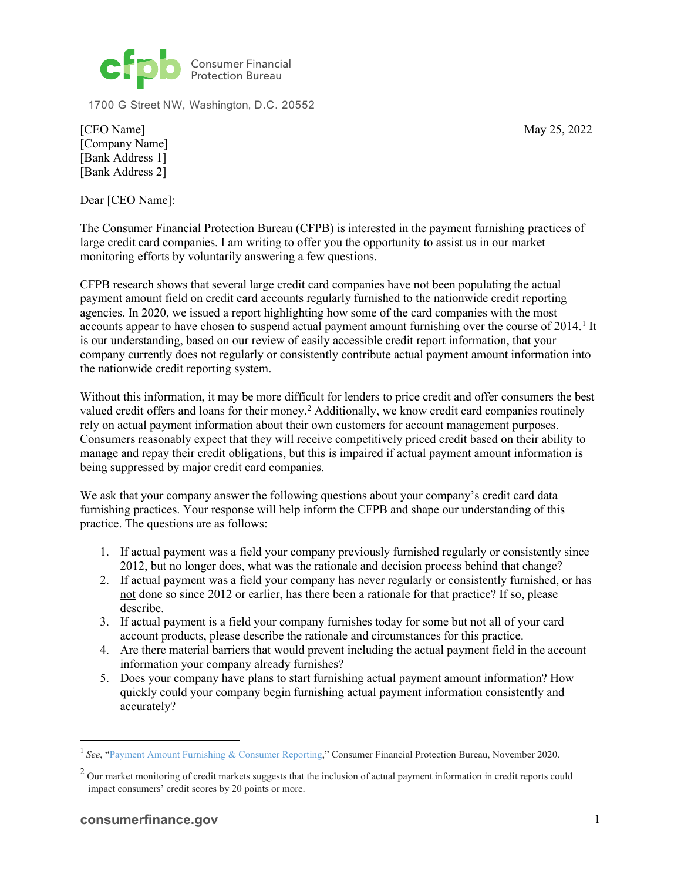

1700 G Street NW, Washington, D.C. 20552

May 25, 2022

[CEO Name] [Company Name] [Bank Address 1] [Bank Address 2]

Dear [CEO Name]:

The Consumer Financial Protection Bureau (CFPB) is interested in the payment furnishing practices of large credit card companies. I am writing to offer you the opportunity to assist us in our market monitoring efforts by voluntarily answering a few questions.

CFPB research shows that several large credit card companies have not been populating the actual payment amount field on credit card accounts regularly furnished to the nationwide credit reporting agencies. In 2020, we issued a report highlighting how some of the card companies with the most accounts appear to have chosen to suspend actual payment amount furnishing over the course of  $2014<sup>1</sup>$  $2014<sup>1</sup>$  $2014<sup>1</sup>$  It is our understanding, based on our review of easily accessible credit report information, that your company currently does not regularly or consistently contribute actual payment amount information into the nationwide credit reporting system.

Without this information, it may be more difficult for lenders to price credit and offer consumers the best valued credit offers and loans for their money.<sup>[2](#page-0-1)</sup> Additionally, we know credit card companies routinely rely on actual payment information about their own customers for account management purposes. Consumers reasonably expect that they will receive competitively priced credit based on their ability to manage and repay their credit obligations, but this is impaired if actual payment amount information is being suppressed by major credit card companies.

We ask that your company answer the following questions about your company's credit card data furnishing practices. Your response will help inform the CFPB and shape our understanding of this practice. The questions are as follows:

- 1. If actual payment was a field your company previously furnished regularly or consistently since 2012, but no longer does, what was the rationale and decision process behind that change?
- 2. If actual payment was a field your company has never regularly or consistently furnished, or has not done so since 2012 or earlier, has there been a rationale for that practice? If so, please describe.
- 3. If actual payment is a field your company furnishes today for some but not all of your card account products, please describe the rationale and circumstances for this practice.
- 4. Are there material barriers that would prevent including the actual payment field in the account information your company already furnishes?
- 5. Does your company have plans to start furnishing actual payment amount information? How quickly could your company begin furnishing actual payment information consistently and accurately?

<span id="page-0-0"></span><sup>1</sup> *See*, ["Payment Amount Furnishing & Consumer Reporting,](https://files.consumerfinance.gov/f/documents/cfpb_quarterly-consumer-credit-trends_report_2020-11.pdf)" Consumer Financial Protection Bureau, November 2020.

<span id="page-0-1"></span> $2$  Our market monitoring of credit markets suggests that the inclusion of actual payment information in credit reports could impact consumers' credit scores by 20 points or more.